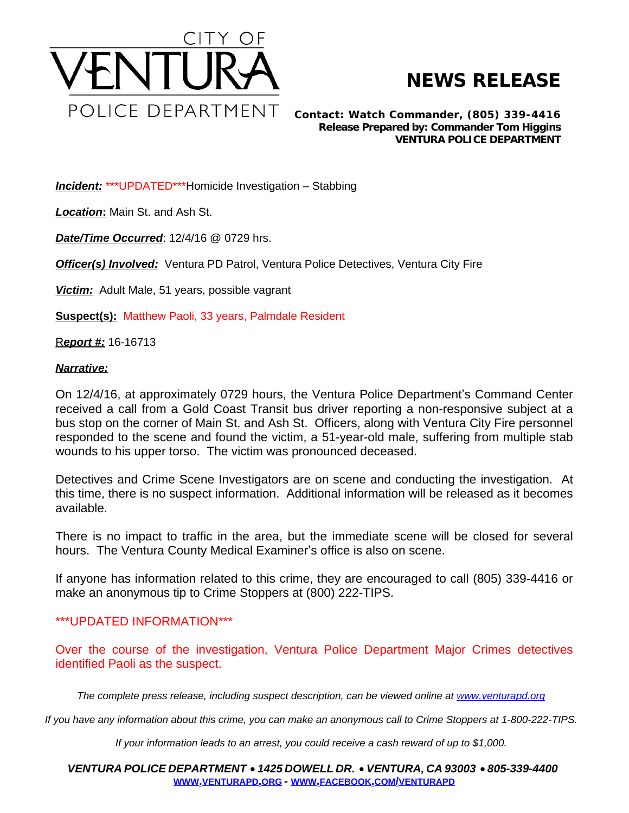

## **NEWS RELEASE**

*Contact: Watch Commander, (805) 339-4416 Release Prepared by: Commander Tom Higgins* **VENTURA POLICE DEPARTMENT**

*Incident:* \*\*\*UPDATED\*\*\*Homicide Investigation – Stabbing

*Location***:** Main St. and Ash St.

*Date/Time Occurred*: 12/4/16 @ 0729 hrs.

**Officer(s) Involved:** Ventura PD Patrol, Ventura Police Detectives, Ventura City Fire

*Victim:* Adult Male, 51 years, possible vagrant

**Suspect(s):** Matthew Paoli, 33 years, Palmdale Resident

R*eport #:* 16-16713

## *Narrative:*

On 12/4/16, at approximately 0729 hours, the Ventura Police Department's Command Center received a call from a Gold Coast Transit bus driver reporting a non-responsive subject at a bus stop on the corner of Main St. and Ash St. Officers, along with Ventura City Fire personnel responded to the scene and found the victim, a 51-year-old male, suffering from multiple stab wounds to his upper torso. The victim was pronounced deceased.

Detectives and Crime Scene Investigators are on scene and conducting the investigation. At this time, there is no suspect information. Additional information will be released as it becomes available.

There is no impact to traffic in the area, but the immediate scene will be closed for several hours. The Ventura County Medical Examiner's office is also on scene.

If anyone has information related to this crime, they are encouraged to call (805) 339-4416 or make an anonymous tip to Crime Stoppers at (800) 222-TIPS.

## \*\*\*UPDATED INFORMATION\*\*\*

Over the course of the investigation, Ventura Police Department Major Crimes detectives identified Paoli as the suspect.

The complete press release, including suspect description, can be viewed online at [www.venturapd.org](http://www.venturapd.org)

*If you have any information about this crime, you can make an anonymous call to Crime Stoppers at 1-800-222-TIPS.*

*If your information leads to an arrest, you could receive a cash reward of up to \$1,000.*

*VENTURA POLICE DEPARTMENT* · *1425 DOWELL DR.* · *VENTURA, CA 93003* · *805-339-4400* **WWW.[VENTURAPD](http://www.venturapd.org).ORG** *-* **WWW.FACEBOOK.COM/[VENTURAPD](http://www.facebook.com/venturapd)**